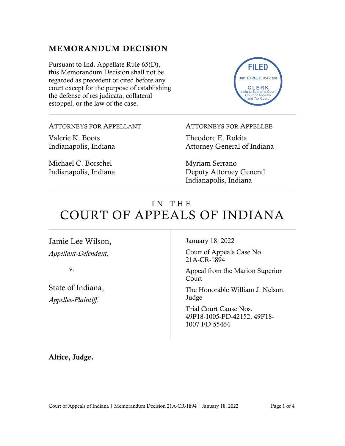## MEMORANDUM DECISION

Pursuant to Ind. Appellate Rule 65(D), this Memorandum Decision shall not be regarded as precedent or cited before any court except for the purpose of establishing the defense of res judicata, collateral estoppel, or the law of the case.



ATTORNEYS FOR APPELLANT

Valerie K. Boots Indianapolis, Indiana

Michael C. Borschel Indianapolis, Indiana ATTORNEYS FOR APPELLEE

Theodore E. Rokita Attorney General of Indiana

Myriam Serrano Deputy Attorney General Indianapolis, Indiana

# IN THE COURT OF APPEALS OF INDIANA

Jamie Lee Wilson, *Appellant-Defendant,*

v.

State of Indiana, *Appellee-Plaintiff*.

January 18, 2022

Court of Appeals Case No. 21A-CR-1894

Appeal from the Marion Superior Court

The Honorable William J. Nelson, Judge

Trial Court Cause Nos. 49F18-1005-FD-42152, 49F18- 1007-FD-55464

Altice, Judge.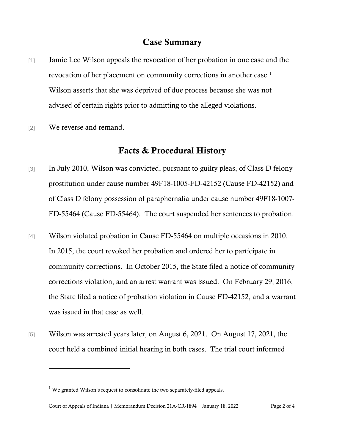#### Case Summary

- [1] Jamie Lee Wilson appeals the revocation of her probation in one case and the revocation of her placement on community corrections in another case. [1](#page-1-0) Wilson asserts that she was deprived of due process because she was not advised of certain rights prior to admitting to the alleged violations.
- [2] We reverse and remand.

### Facts & Procedural History

- [3] In July 2010, Wilson was convicted, pursuant to guilty pleas, of Class D felony prostitution under cause number 49F18-1005-FD-42152 (Cause FD-42152) and of Class D felony possession of paraphernalia under cause number 49F18-1007- FD-55464 (Cause FD-55464). The court suspended her sentences to probation.
- [4] Wilson violated probation in Cause FD-55464 on multiple occasions in 2010. In 2015, the court revoked her probation and ordered her to participate in community corrections. In October 2015, the State filed a notice of community corrections violation, and an arrest warrant was issued. On February 29, 2016, the State filed a notice of probation violation in Cause FD-42152, and a warrant was issued in that case as well.
- [5] Wilson was arrested years later, on August 6, 2021. On August 17, 2021, the court held a combined initial hearing in both cases. The trial court informed

<span id="page-1-0"></span> $<sup>1</sup>$  We granted Wilson's request to consolidate the two separately-filed appeals.</sup>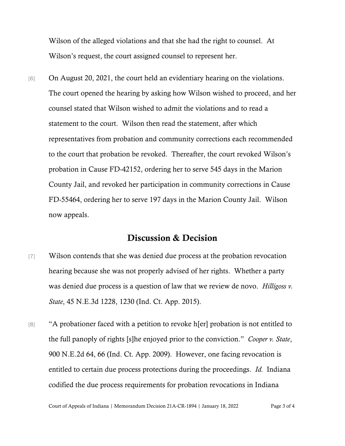Wilson of the alleged violations and that she had the right to counsel. At Wilson's request, the court assigned counsel to represent her.

[6] On August 20, 2021, the court held an evidentiary hearing on the violations. The court opened the hearing by asking how Wilson wished to proceed, and her counsel stated that Wilson wished to admit the violations and to read a statement to the court. Wilson then read the statement, after which representatives from probation and community corrections each recommended to the court that probation be revoked. Thereafter, the court revoked Wilson's probation in Cause FD-42152, ordering her to serve 545 days in the Marion County Jail, and revoked her participation in community corrections in Cause FD-55464, ordering her to serve 197 days in the Marion County Jail. Wilson now appeals.

#### Discussion & Decision

- [7] Wilson contends that she was denied due process at the probation revocation hearing because she was not properly advised of her rights. Whether a party was denied due process is a question of law that we review de novo. *Hilligoss v. State*, 45 N.E.3d 1228, 1230 (Ind. Ct. App. 2015).
- [8] "A probationer faced with a petition to revoke h[er] probation is not entitled to the full panoply of rights [s]he enjoyed prior to the conviction." *Cooper v. State*, 900 N.E.2d 64, 66 (Ind. Ct. App. 2009). However, one facing revocation is entitled to certain due process protections during the proceedings. *Id.* Indiana codified the due process requirements for probation revocations in Indiana